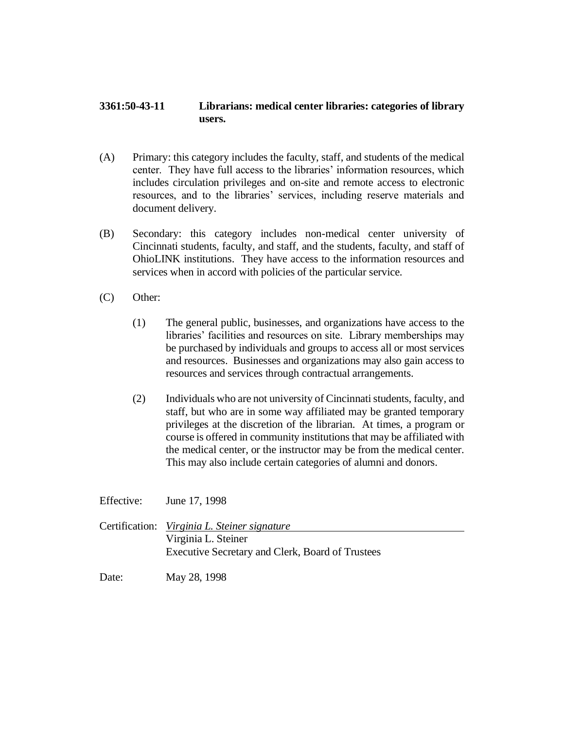## **3361:50-43-11 Librarians: medical center libraries: categories of library users.**

- (A) Primary: this category includes the faculty, staff, and students of the medical center. They have full access to the libraries' information resources, which includes circulation privileges and on-site and remote access to electronic resources, and to the libraries' services, including reserve materials and document delivery.
- (B) Secondary: this category includes non-medical center university of Cincinnati students, faculty, and staff, and the students, faculty, and staff of OhioLINK institutions. They have access to the information resources and services when in accord with policies of the particular service.
- (C) Other:
	- (1) The general public, businesses, and organizations have access to the libraries' facilities and resources on site. Library memberships may be purchased by individuals and groups to access all or most services and resources. Businesses and organizations may also gain access to resources and services through contractual arrangements.
	- (2) Individuals who are not university of Cincinnati students, faculty, and staff, but who are in some way affiliated may be granted temporary privileges at the discretion of the librarian. At times, a program or course is offered in community institutions that may be affiliated with the medical center, or the instructor may be from the medical center. This may also include certain categories of alumni and donors.

Effective: June 17, 1998 Certification: *Virginia L. Steiner signature* Virginia L. Steiner Executive Secretary and Clerk, Board of Trustees Date: May 28, 1998